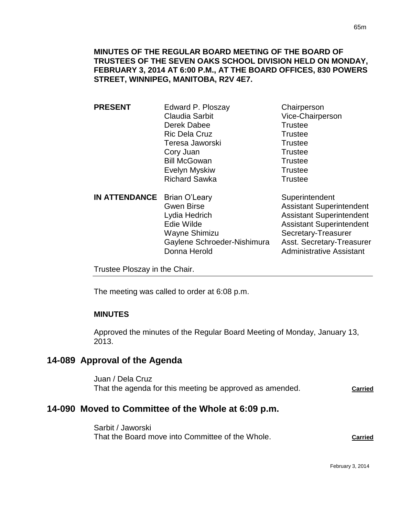| <b>PRESENT</b>              | Edward P. Ploszay     | Chairperson                     |
|-----------------------------|-----------------------|---------------------------------|
|                             | <b>Claudia Sarbit</b> | Vice-Chairperson                |
|                             | Derek Dabee           | <b>Trustee</b>                  |
|                             | <b>Ric Dela Cruz</b>  | <b>Trustee</b>                  |
|                             | Teresa Jaworski       | <b>Trustee</b>                  |
|                             | Cory Juan             | <b>Trustee</b>                  |
|                             | <b>Bill McGowan</b>   | <b>Trustee</b>                  |
|                             | Evelyn Myskiw         | <b>Trustee</b>                  |
|                             | <b>Richard Sawka</b>  | <b>Trustee</b>                  |
| IN ATTENDANCE Brian O'Leary |                       | Superintendent                  |
|                             | <b>Gwen Birse</b>     | <b>Assistant Superintendent</b> |
|                             | Lydia Hedrich         | <b>Assistant Superintendent</b> |

Edie Wilde **Assistant Superintendent** Wayne Shimizu Secretary-Treasurer Gaylene Schroeder-Nishimura Asst. Secretary-Treasurer Donna Herold **Administrative Assistant** 

Trustee Ploszay in the Chair.

The meeting was called to order at 6:08 p.m.

## **MINUTES**

Approved the minutes of the Regular Board Meeting of Monday, January 13, 2013.

# **14-089 Approval of the Agenda**

Juan / Dela Cruz That the agenda for this meeting be approved as amended. **Carried**

# **14-090 Moved to Committee of the Whole at 6:09 p.m.**

Sarbit / Jaworski That the Board move into Committee of the Whole. **Carried**

February 3, 2014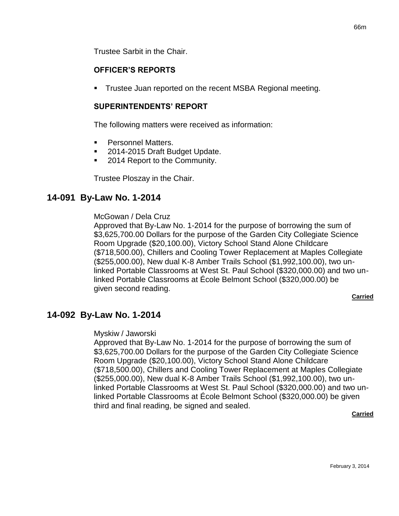Trustee Sarbit in the Chair.

### **OFFICER'S REPORTS**

Trustee Juan reported on the recent MSBA Regional meeting.

#### **SUPERINTENDENTS' REPORT**

The following matters were received as information:

- Personnel Matters.
- 2014-2015 Draft Budget Update.
- 2014 Report to the Community.

Trustee Ploszay in the Chair.

### **14-091 By-Law No. 1-2014**

#### McGowan / Dela Cruz

Approved that By-Law No. 1-2014 for the purpose of borrowing the sum of \$3,625,700.00 Dollars for the purpose of the Garden City Collegiate Science Room Upgrade (\$20,100.00), Victory School Stand Alone Childcare (\$718,500.00), Chillers and Cooling Tower Replacement at Maples Collegiate (\$255,000.00), New dual K-8 Amber Trails School (\$1,992,100.00), two unlinked Portable Classrooms at West St. Paul School (\$320,000.00) and two unlinked Portable Classrooms at École Belmont School (\$320,000.00) be given second reading.

#### **Carried**

## **14-092 By-Law No. 1-2014**

#### Myskiw / Jaworski

Approved that By-Law No. 1-2014 for the purpose of borrowing the sum of \$3,625,700.00 Dollars for the purpose of the Garden City Collegiate Science Room Upgrade (\$20,100.00), Victory School Stand Alone Childcare (\$718,500.00), Chillers and Cooling Tower Replacement at Maples Collegiate (\$255,000.00), New dual K-8 Amber Trails School (\$1,992,100.00), two unlinked Portable Classrooms at West St. Paul School (\$320,000.00) and two unlinked Portable Classrooms at École Belmont School (\$320,000.00) be given third and final reading, be signed and sealed.

#### **Carried**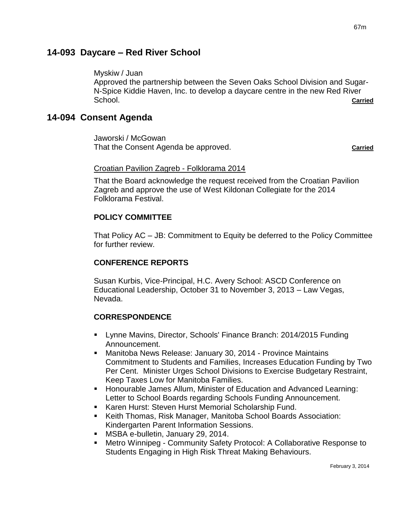## **14-093 Daycare – Red River School**

Myskiw / Juan

Approved the partnership between the Seven Oaks School Division and Sugar-N-Spice Kiddie Haven, Inc. to develop a daycare centre in the new Red River School. **Carried**

## **14-094 Consent Agenda**

Jaworski / McGowan That the Consent Agenda be approved. **Carried**

#### Croatian Pavilion Zagreb - Folklorama 2014

That the Board acknowledge the request received from the Croatian Pavilion Zagreb and approve the use of West Kildonan Collegiate for the 2014 Folklorama Festival.

### **POLICY COMMITTEE**

That Policy AC – JB: Commitment to Equity be deferred to the Policy Committee for further review.

### **CONFERENCE REPORTS**

Susan Kurbis, Vice-Principal, H.C. Avery School: ASCD Conference on Educational Leadership, October 31 to November 3, 2013 – Law Vegas, Nevada.

## **CORRESPONDENCE**

- Lynne Mavins, Director, Schools' Finance Branch: 2014/2015 Funding Announcement.
- Manitoba News Release: January 30, 2014 Province Maintains Commitment to Students and Families, Increases Education Funding by Two Per Cent. Minister Urges School Divisions to Exercise Budgetary Restraint, Keep Taxes Low for Manitoba Families.
- Honourable James Allum, Minister of Education and Advanced Learning: Letter to School Boards regarding Schools Funding Announcement.
- Karen Hurst: Steven Hurst Memorial Scholarship Fund.
- Keith Thomas, Risk Manager, Manitoba School Boards Association: Kindergarten Parent Information Sessions.
- MSBA e-bulletin, January 29, 2014.
- Metro Winnipeg Community Safety Protocol: A Collaborative Response to Students Engaging in High Risk Threat Making Behaviours.